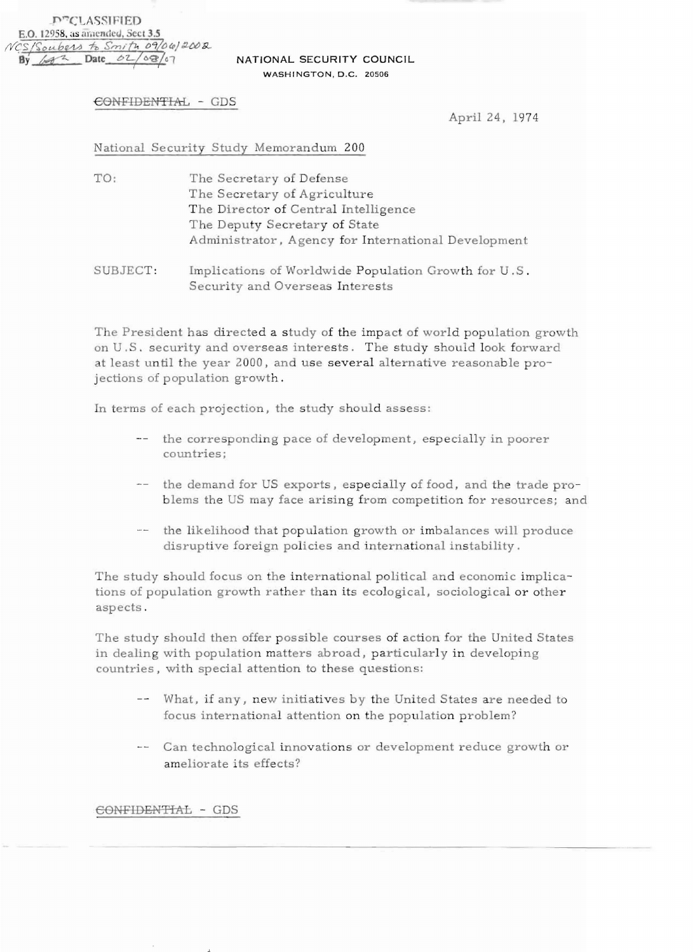## **NATIONAL SECURITY COUNCIL**  WASHINGTON, D.C. 20506

## €0 N-H:BENTIAL - GDS

April 24. 1974

## National Security Study Memorandum 200

- TO: The Secretary of Defense The Secretary of Agriculture The Director of Central Intelligence The Deputy Secretary of State Administrator, Agency for International Development
- SUBJECT: Implications of Worldwide Population Growth for U.S. Security and Overseas Interests

The President has directed a study of the impact of world population growth on U.S. security and overseas interests. The study should look forward at least until the year 2000, and use several alternative reasonable projections of population growth.

In terms of each projection, the study should assess:

- -- the corresponding pace of development, especially in poorer countries;
- the demand for US exports, especially of food, and the trade problems the US may face arising from competition for resources; and
- the likelihood that population growth or imbalances will produce disruptive foreign policies and international instability.

The study should focus on the international political and economic implications of population growth rather than its ecological, sociological or other aspects .

The study should then offer possible courses of action for the United States in dealing with population matters abroad, particularly in developing countries, with special attention to these questions:

- -- What, if any, new initiatives by the United States are needed to focus international attention on the population problem?
- -- Can technological innovations or development reduce growth or ameliorate its effects?

CONFIDENTIAL - GDS